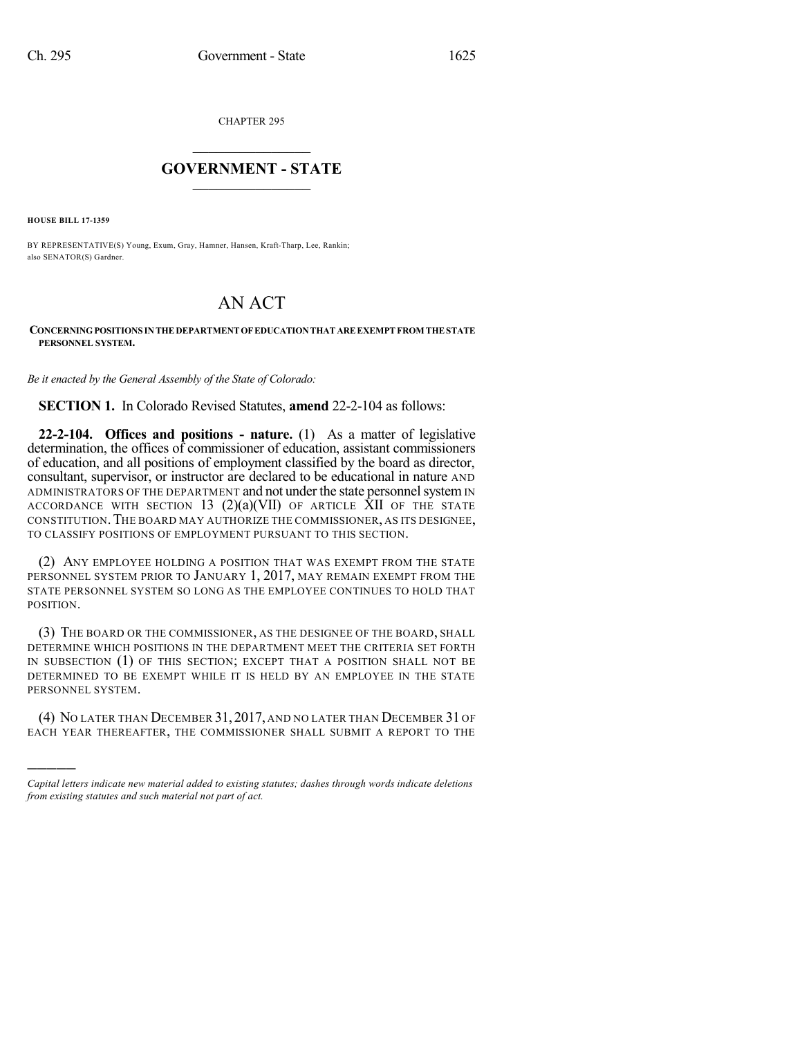CHAPTER 295

## $\overline{\phantom{a}}$  . The set of the set of the set of the set of the set of the set of the set of the set of the set of the set of the set of the set of the set of the set of the set of the set of the set of the set of the set o **GOVERNMENT - STATE**  $\_$

**HOUSE BILL 17-1359**

)))))

BY REPRESENTATIVE(S) Young, Exum, Gray, Hamner, Hansen, Kraft-Tharp, Lee, Rankin; also SENATOR(S) Gardner.

## AN ACT

## **CONCERNINGPOSITIONS INTHEDEPARTMENTOFEDUCATIONTHATAREEXEMPTFROM THESTATE PERSONNEL SYSTEM.**

*Be it enacted by the General Assembly of the State of Colorado:*

**SECTION 1.** In Colorado Revised Statutes, **amend** 22-2-104 as follows:

**22-2-104. Offices and positions - nature.** (1) As a matter of legislative determination, the offices of commissioner of education, assistant commissioners of education, and all positions of employment classified by the board as director, consultant, supervisor, or instructor are declared to be educational in nature AND ADMINISTRATORS OF THE DEPARTMENT and not under the state personnel system IN ACCORDANCE WITH SECTION 13  $(2)(a)(VII)$  OF ARTICLE XII OF THE STATE CONSTITUTION.THE BOARD MAY AUTHORIZE THE COMMISSIONER, AS ITS DESIGNEE, TO CLASSIFY POSITIONS OF EMPLOYMENT PURSUANT TO THIS SECTION.

(2) ANY EMPLOYEE HOLDING A POSITION THAT WAS EXEMPT FROM THE STATE PERSONNEL SYSTEM PRIOR TO JANUARY 1, 2017, MAY REMAIN EXEMPT FROM THE STATE PERSONNEL SYSTEM SO LONG AS THE EMPLOYEE CONTINUES TO HOLD THAT POSITION.

(3) THE BOARD OR THE COMMISSIONER, AS THE DESIGNEE OF THE BOARD, SHALL DETERMINE WHICH POSITIONS IN THE DEPARTMENT MEET THE CRITERIA SET FORTH IN SUBSECTION (1) OF THIS SECTION; EXCEPT THAT A POSITION SHALL NOT BE DETERMINED TO BE EXEMPT WHILE IT IS HELD BY AN EMPLOYEE IN THE STATE PERSONNEL SYSTEM.

(4) NO LATER THAN DECEMBER 31, 2017, AND NO LATER THAN DECEMBER 31 OF EACH YEAR THEREAFTER, THE COMMISSIONER SHALL SUBMIT A REPORT TO THE

*Capital letters indicate new material added to existing statutes; dashes through words indicate deletions from existing statutes and such material not part of act.*